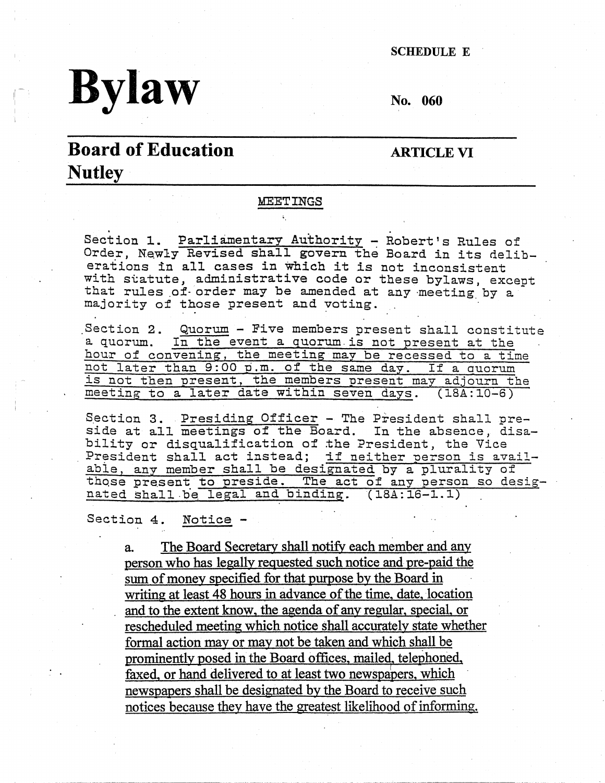SCHEDULE E

# $\frac{1}{2}$

## **Board of Education Nutley·**

#### **ARTICLE VI**

#### **MEETINGS**

Section 1. Parliamentary Authority - Robert's Rules of Order, Newly Revised shall govern the Board in its deliberations in all cases in which it *is* not inconsistent with statute, administrative code or these bylaws, excent that rules of order may be amended at any meeting by a majority of those present and voting.

Section 2. Quorum - Five members present shall constitute a quorum. In the event a quorum.is not present at the hour of convening, the meeting may be recessed to a time not later than 9:00 p.m. of the same day. If a quorum is not tben present, the members present may adjourn the meeting to a later date within seven days. (18A:10-6)

Section 3. Presiding Officer - The President shall preside at all meetings of the Board. In the absence, disability or disqualification of the President, the Vice President shall act instead; if neither person is availabie, any member shall be designated by a plurality of those present to preside. The act of any person so designated shall be legal and binding. (18A:16-1.1)

Section 4. Notice -

a. The Board Secretary shall notify each member and any person who has legally reguested such notice and pre-paid the sum of money specified for that purpose by the Board in writing at least 48 hours in advance of the time, date, location and to the extent know, the agenda of any regular, special, or rescheduled meeting which notice shall accurately state whether formal action may or may not be taken and which shall be prominently posed in the Board offices, mailed, telephoned, faxed, or hand delivered to at least two newspapers, which newspapers shall be designated by the Board to receive such notices because they have the greatest likelihood of informing.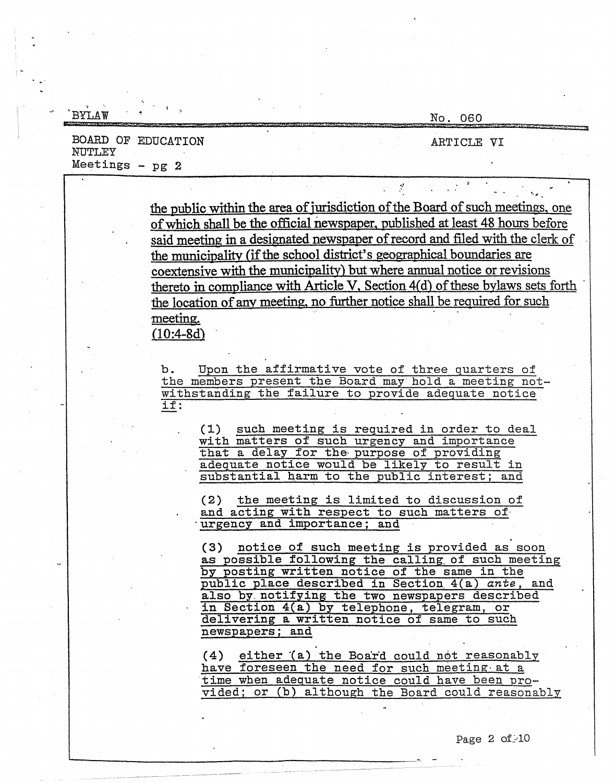| RYT.AW                       | No. 060                                                                                                                                                                                                                                   |
|------------------------------|-------------------------------------------------------------------------------------------------------------------------------------------------------------------------------------------------------------------------------------------|
| BOARD OF EDUCATION<br>NUTLEY | ARTICLE VI                                                                                                                                                                                                                                |
| Meetings $-$ pg $2$          |                                                                                                                                                                                                                                           |
|                              |                                                                                                                                                                                                                                           |
|                              | the public within the area of jurisdiction of the Board of such meetings, one<br>of which shall be the official newspaper, published at least 48 hours before                                                                             |
|                              | said meeting in a designated newspaper of record and filed with the clerk of                                                                                                                                                              |
|                              | the municipality (if the school district's geographical boundaries are                                                                                                                                                                    |
|                              | coextensive with the municipality) but where annual notice or revisions                                                                                                                                                                   |
|                              | thereto in compliance with Article V, Section 4(d) of these bylaws sets forth                                                                                                                                                             |
|                              | the location of any meeting, no further notice shall be required for such                                                                                                                                                                 |
|                              | meeting.<br>$(10:4 - 8d)$                                                                                                                                                                                                                 |
|                              |                                                                                                                                                                                                                                           |
|                              | Upon the affirmative vote of three quarters of<br>b.<br>the members present the Board may hold a meeting not-                                                                                                                             |
|                              | withstanding the failure to provide adequate notice<br>if:                                                                                                                                                                                |
|                              | (1) such meeting is required in order to deal<br>with matters of such urgency and importance<br>that a delay for the purpose of providing<br>adequate notice would be likely to result in<br>substantial harm to the public interest; and |
|                              | (2) the meeting is limited to discussion of<br>and acting with respect to such matters of<br>urgency and importance; and                                                                                                                  |
|                              | (3) notice of such meeting is provided as soon<br>as possible following the calling of such meeting<br>by posting written notice of the same in the                                                                                       |
|                              | public place described in Section 4(a) ante, and<br>also by notifying the two newspapers described<br>in Section 4(a) by telephone, telegram, or<br>delivering a written notice of same to such                                           |
|                              | newspapers; and<br>(4) either (a) the Board could not reasonably<br>have foreseen the need for such meeting at a<br>time when adequate notice could have been pro-<br>vided; or (b) although the Board could reasonably                   |

-------------------------·-·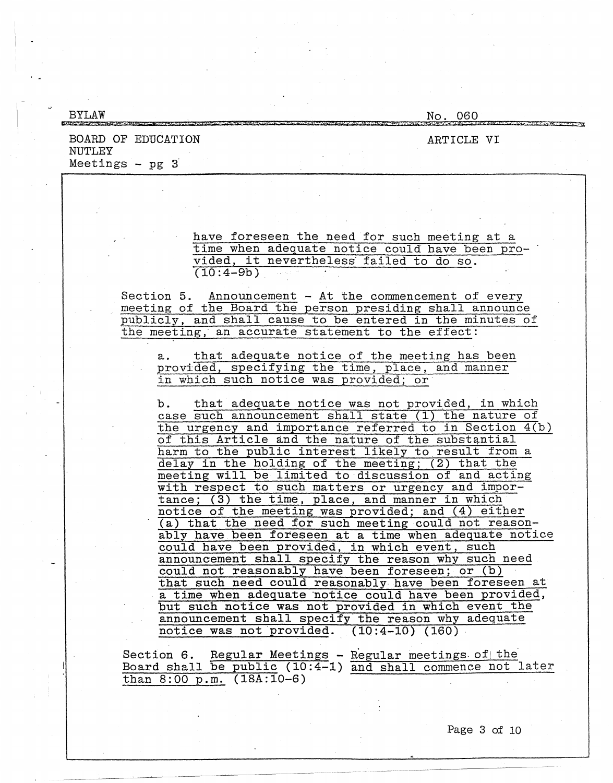| <b>BYLAW</b>                                                                                                                                                                                                                                                                                                                                                                                                                                                                                                                                                | No. 060    |
|-------------------------------------------------------------------------------------------------------------------------------------------------------------------------------------------------------------------------------------------------------------------------------------------------------------------------------------------------------------------------------------------------------------------------------------------------------------------------------------------------------------------------------------------------------------|------------|
| BOARD OF EDUCATION<br>NUTLEY<br>Meetings $-$ pg $3$                                                                                                                                                                                                                                                                                                                                                                                                                                                                                                         | ARTICLE VI |
|                                                                                                                                                                                                                                                                                                                                                                                                                                                                                                                                                             |            |
|                                                                                                                                                                                                                                                                                                                                                                                                                                                                                                                                                             |            |
| have foreseen the need for such meeting at a<br>time when adequate notice could have been pro-<br>vided, it nevertheless failed to do so.<br>$(10:4-9b)$                                                                                                                                                                                                                                                                                                                                                                                                    |            |
| Section 5. Announcement - At the commencement of every<br>meeting of the Board the person presiding shall announce<br>publicly, and shall cause to be entered in the minutes of<br>the meeting, an accurate statement to the effect:                                                                                                                                                                                                                                                                                                                        |            |
| that adequate notice of the meeting has been<br>a.<br>provided, specifying the time, place, and manner<br>in which such notice was provided; or                                                                                                                                                                                                                                                                                                                                                                                                             |            |
| b. that adequate notice was not provided, in which<br>case such announcement shall state (1) the nature of<br>the urgency and importance referred to in Section 4(b)<br>of this Article and the nature of the substantial<br>harm to the public interest likely to result from a<br>delay in the holding of the meeting; (2) that the<br>meeting will be limited to discussion of and acting<br>with respect to such matters or urgency and impor-<br>tance: (3) the time, place, and manner in which<br>notice of the meeting was provided; and (4) either |            |
| (a) that the need for such meeting could not reason-<br>ably have been foreseen at a time when adequate notice<br>could have been provided, in which event, such<br>announcement shall specify the reason why such need<br>could not reasonably have been foreseen; or (b)<br>that such need could reasonably have been foreseen at<br>a time when adequate notice could have been provided,<br>but such notice was not provided in which event the<br>announcement shall specify the reason why adequate                                                   |            |
| notice was not provided. $(10:4-10)$ $(160)$ .<br>Section 6. Regular Meetings - Regular meetings of the<br>Board shall be public (10:4-1) and shall commence not later<br>than $8:00 \text{ p.m.}$ $(18A:10-6)$                                                                                                                                                                                                                                                                                                                                             |            |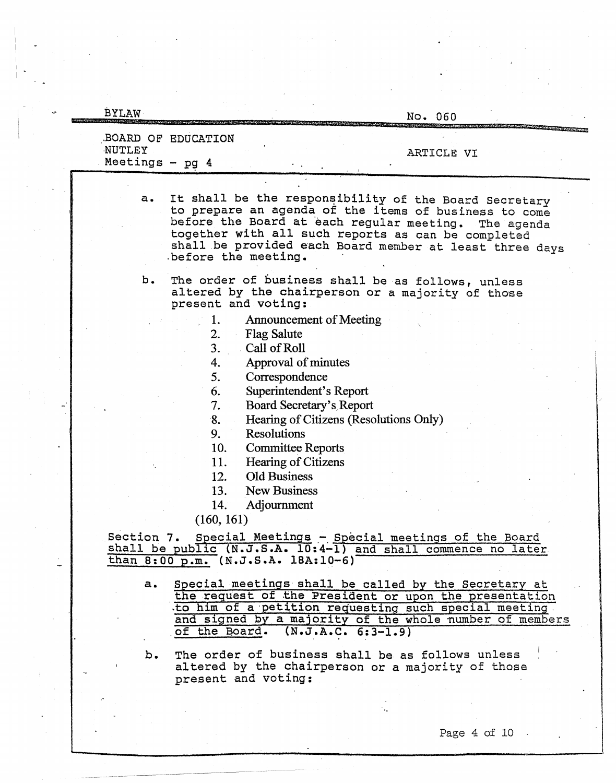| <b>BYLAW</b>                | No. 060                                                                                                                                                                                                                                                                                                                                                                                                                                              |
|-----------------------------|------------------------------------------------------------------------------------------------------------------------------------------------------------------------------------------------------------------------------------------------------------------------------------------------------------------------------------------------------------------------------------------------------------------------------------------------------|
| NUTLEY<br>Meetings - $pg$ 4 | BOARD OF EDUCATION<br>ARTICLE VI                                                                                                                                                                                                                                                                                                                                                                                                                     |
| a.                          | It shall be the responsibility of the Board Secretary<br>to prepare an agenda of the items of business to come<br>before the Board at each regular meeting.<br>The agenda<br>together with all such reports as can be completed<br>shall be provided each Board member at least three days<br>before the meeting.                                                                                                                                    |
| b.                          | The order of business shall be as follows, unless<br>altered by the chairperson or a majority of those<br>present and voting:                                                                                                                                                                                                                                                                                                                        |
|                             | Announcement of Meeting<br>1.<br>2.<br><b>Flag Salute</b><br>3.<br>Call of Roll<br>Approval of minutes<br>4.<br>5.<br>Correspondence<br>Superintendent's Report<br>6.<br>7.<br>Board Secretary's Report<br>8.<br>Hearing of Citizens (Resolutions Only)<br>9.<br><b>Resolutions</b><br>10.<br><b>Committee Reports</b><br>11.<br>Hearing of Citizens<br><b>Old Business</b><br>12.<br>13.<br><b>New Business</b><br>14.<br>Adjournment<br>(160, 161) |
|                             | Section 7. Special Meetings - Special meetings of the Board<br>shall be public (N.J.S.A. 10:4-1) and shall commence no later<br>than 8:00 p.m. (N.J.S.A. 18A:10-6)                                                                                                                                                                                                                                                                                   |
| a.                          | Special meetings shall be called by the Secretary at<br>the request of the President or upon the presentation<br>to him of a petition requesting such special meeting.<br>and signed by a majority of the whole number of members<br>of the Board. $(N.J.A.C. 6:3-1.9)$                                                                                                                                                                              |
| b.                          | The order of business shall be as follows unless<br>altered by the chairperson or a majority of those<br>present and voting:                                                                                                                                                                                                                                                                                                                         |

 $\frac{1}{2}$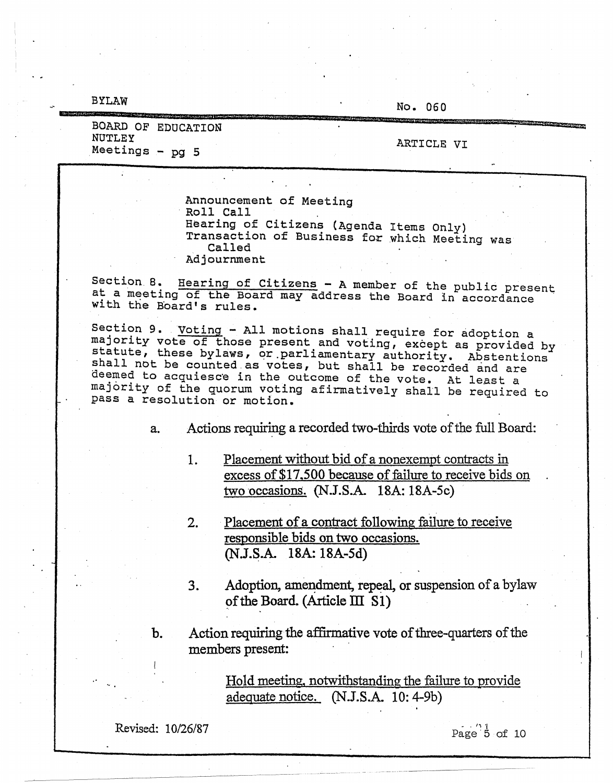BYLAW

No. 060

& **AHSQO b!CiRb@MWIW@ii\W&MPtVS@IWi&!919 S** ?9dti **W Ht &ita:1i::** 

|               |                    | in our particular and consider the complete of the consideration of the complete of the complete of the complete of the complete of the complete of the complete of the complete of the complete of the complete of the comple |
|---------------|--------------------|--------------------------------------------------------------------------------------------------------------------------------------------------------------------------------------------------------------------------------|
| NUTLEY        | BOARD OF EDUCATION |                                                                                                                                                                                                                                |
| Meetings - pg | - 5                | ARTICLE VI<br>$\bullet\bullet$                                                                                                                                                                                                 |

Announcement of Meeting Roll Call Hearing of Citizens (Agenda Items Only) Transaction of Business for which Meeting was Called Adjournment

Section 8. Hearing of Citizens - A member of the public present<br>at a meeting of the Board may address the Board in accordance with the Board's rules.

Section 9. Voting - All motions shall require for adoption a majority vote of those present and voting, except as provided by statute, these bylaws, or parliamentary authority. Abstentions shall not be counted as votes, but shall be recorded and are deemed to acquiesce in the outcome of the vote. At least a majority of the quorum voting afirmatively shall be required to pass a resolution or motion.

a. Actions requiring a recorded two-thirds vote of the full Board:

- 1. Placement without bid of a nonexempt contracts in excess of \$17,500 because of failure to receive bids on two occasions. (N.J.S.A. 18A: 18A-5c)
- 2. Placement of a contract following failure to receive responsible bids on two occasions. (N.J.S.A. 18A: 18A-5d)
- 3. Adoption, amendment, repeal, or suspension of a bylaw of the Board. (Article  $III$  S1)
- b. Action requiring the affirmative vote of three-quarters of the members present:

Hold meeting, notwithstanding the failure to provide adequate notice. **(N.J.S.A.** 10: 4-9b)

Revised: 10/26/87

 $Page \overset{?}{5} of 10$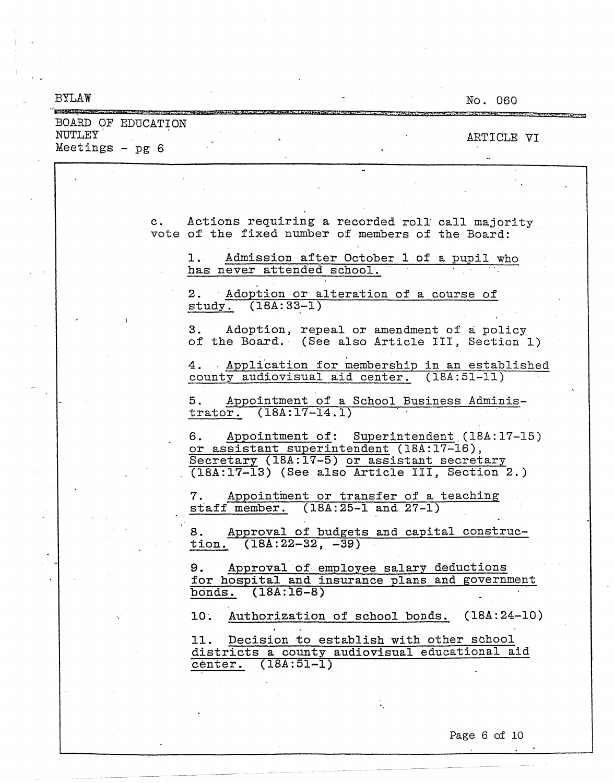| <b>BYLAW</b>                 |  | No. 060                                                                                                                                                                                       |
|------------------------------|--|-----------------------------------------------------------------------------------------------------------------------------------------------------------------------------------------------|
| BOARD OF EDUCATION<br>NUTLEY |  |                                                                                                                                                                                               |
| Meetings $-$ pg $6$          |  | ARTICLE VI                                                                                                                                                                                    |
|                              |  |                                                                                                                                                                                               |
|                              |  | c. Actions requiring a recorded roll call majority<br>vote of the fixed number of members of the Board:                                                                                       |
|                              |  | 1. Admission after October 1 of a pupil who<br>has never attended school.                                                                                                                     |
|                              |  | 2. Adoption or alteration of a course of<br>$study. (18A:33-1)$                                                                                                                               |
|                              |  | 3. Adoption, repeal or amendment of a policy<br>of the Board. (See also Article III, Section 1)                                                                                               |
|                              |  | 4. Application for membership in an established<br>county audiovisual aid center. (18A:51-11)                                                                                                 |
|                              |  | Appointment of a School Business Adminis-<br>5.<br>trator. $(18A:17-14.1)$                                                                                                                    |
|                              |  | Appointment of: Superintendent (18A:17-15)<br>6.<br>or assistant superintendent (18A:17-16),<br>Secretary (18A:17-5) or assistant secretary<br>(18A:17-13) (See also Article III, Section 2.) |
|                              |  | Appointment or transfer of a teaching<br>7.<br>staff member. (18A:25-1 and 27-1)                                                                                                              |
|                              |  | Approval of budgets and capital construc-<br>8.<br>tion. $(18A:22-32,-39)$                                                                                                                    |
|                              |  | Approval of employee salary deductions<br>9.<br>for hospital and insurance plans and government<br>bonds. (18A:16-8)                                                                          |
|                              |  | Authorization of school bonds. (18A:24-10)<br>10.                                                                                                                                             |
|                              |  | 11. Decision to establish with other school<br>districts a county audiovisual educational aid<br>$(18A:51-1)$<br>center.                                                                      |
|                              |  |                                                                                                                                                                                               |

 $\overline{\phantom{a}}$ 

 $\sim$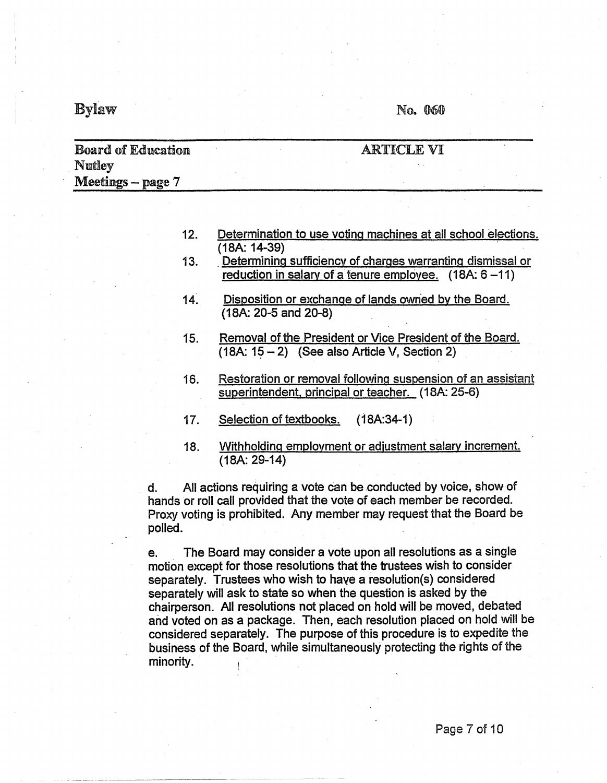## $Bylaw$  No. 060

| <b>Board of Education</b>   | 'I F. VI<br>A R T |
|-----------------------------|-------------------|
| Nutley<br>Meetings - page 7 |                   |
|                             |                   |

| 12. | Determination to use voting machines at all school elections. |  |  |  |  |
|-----|---------------------------------------------------------------|--|--|--|--|
|     | $(18A: 14-39)$                                                |  |  |  |  |

- 13. . Determining sufficiency of charges warranting dismissal or reduction in salary of a tenure employee.  $(18A: 6-11)$
- 14. Disposition or exchange of lands owned by the Board. (18A: 20-5 and 20-8)
- 15. Removal of the President or Vice President of the Board.  $(18A: 15 - 2)$  (See also Article V, Section 2)
- 16. Restoration or removal following suspension of an assistant superintendent, principal or teacher. (18A: 25-6)
- 17. Selection of textbooks. (18A:34-1)
- 18. Withholding employment or adjustment salary increment. (18A: 29-14)

d. All actions requiring a vote can be conducted by voice, showof hands or roll call provided that the vote of each member be recorded. Proxy voting is prohibited. Any member may request that the Board be polled.

e. The Board may consider a vote upon all resolutions as a single motion except for those resolutions that the trustees wish to consider separately. Trustees who wish to have a resolution(s) considered separately will ask to state so when the question is asked by the chairperson. All resolutions not placed on hold will be moved, debated and voted on as a package. Then, each resolution placed on hold will be considered separately. The purpose of this procedure is to expedite the business of the Board, while simultaneously protecting the rights of the minority.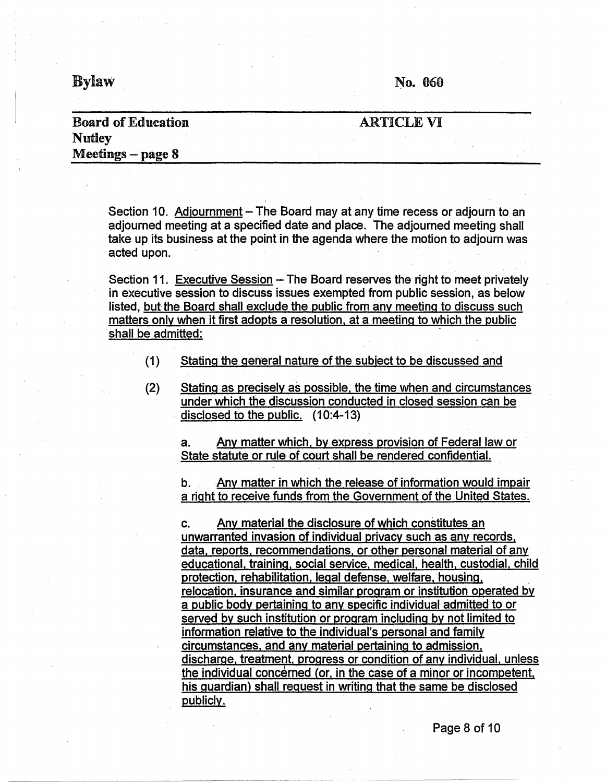$By$ law  $N_0$ . 060

## **Board of** Education **Nutley Meetings** - **page 8**

### ARTICLE VI

Section 10. Adjournment – The Board may at any time recess or adjourn to an adjourned meeting at a specified date and place. The adjourned meeting shall take up its business at the point in the agenda where the motion to adjourn was acted upon.

Section 11. Executive Session - The Board reserves the right to meet privately in executive session to discuss issues exempted from public session, as below listed, but the Board shall exclude the public from any meeting to discuss such matters only when it first adopts a resolution, at a meeting to which the public shall be admitted:

- $(1)$  Stating the general nature of the subject to be discussed and
- (2) Stating as precisely as possible, the time when and circumstances under which the discussion conducted in closed session can be disclosed to the public. (10:4-13)

a. Any matter which, by express provision of Federal law or State statute or rule of court shall be rendered confidential.

b. Any matter in which the release of information would impair a right to receive funds from the Government of the United States.

c. Any material the disclosure of which constitutes an unwarranted invasion of individual privacy such as any records, data, reports, recommendations. or other personal material of any educational, training, social service, medical, health, custodial, child protection, rehabilitation, legal defense, welfare, housing. relocation, insurance and similar program or institution operated by a public body pertaining to any specific individual admitted to or served by such institution or program including by not limited to information relative to the individual's personal and family circumstances, and any material pertaining to admission. discharge, treatment. progress or condition of any individual. unless the individual concerned (or, in the case of a minor or incompetent, his guardian) shall request in writing that the same be disclosed publicly.

Page 8 of 10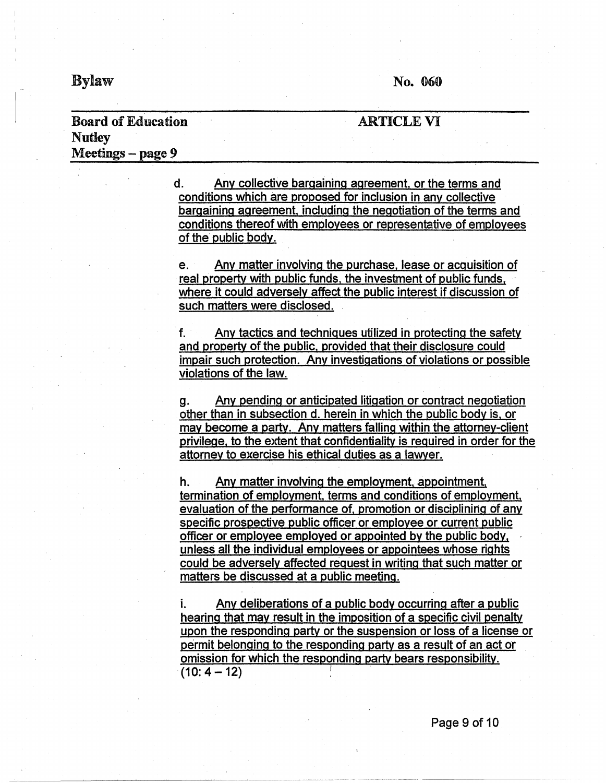$Bylaw$  No. 060

ARTICLE VI

---~-~~-~-~~--------------------------------

## Board of Education **Nutley** Meetings – page 9

d. Any collective bargaining agreement. or the terms and conditions which are proposed for inclusion in any collective bargaining agreement, including the negotiation of the terms and conditions thereof with employees or representative of employees of the public body. e. Any matter involving the purchase, lease or acquisition of real property with public funds. the investment of public funds, where it could adversely affect the public interest if discussion of such matters were disclosed. f. Any tactics and techniques utilized in protecting the safety and property of the public, provided that their disclosure could impair such protection. Any investigations of violations or possible violations of the law. g. Any pending or anticipated litigation or contract negotiation other than in subsection d. herein in which the public body is. or may become a party. Any matters falling within the attorney-client privilege, to the extent that confidentiality is required in order for the attorney to exercise his ethical duties as a 1awyer. h. Any matter involving the employment.appointment, termination of employment, terms and conditions of employment. evaluation of the performance of, promotion or disciplining of any specific prospective public officer or employee or current public officer or employee employed or appointed by the public body, , unless all the individual employees or appointees whose rights could be adversely affected request in writing that such matter or matters be discussed at a public meeting.

Any deliberations of a public body occurring after a public hearing that may result in the imposition of a specific civil penalty upon the responding party or the suspension or loss of a license or permit belonging to the responding party as a result of an act or omission for which the responding party bears responsibility.  $(10:4-12)$